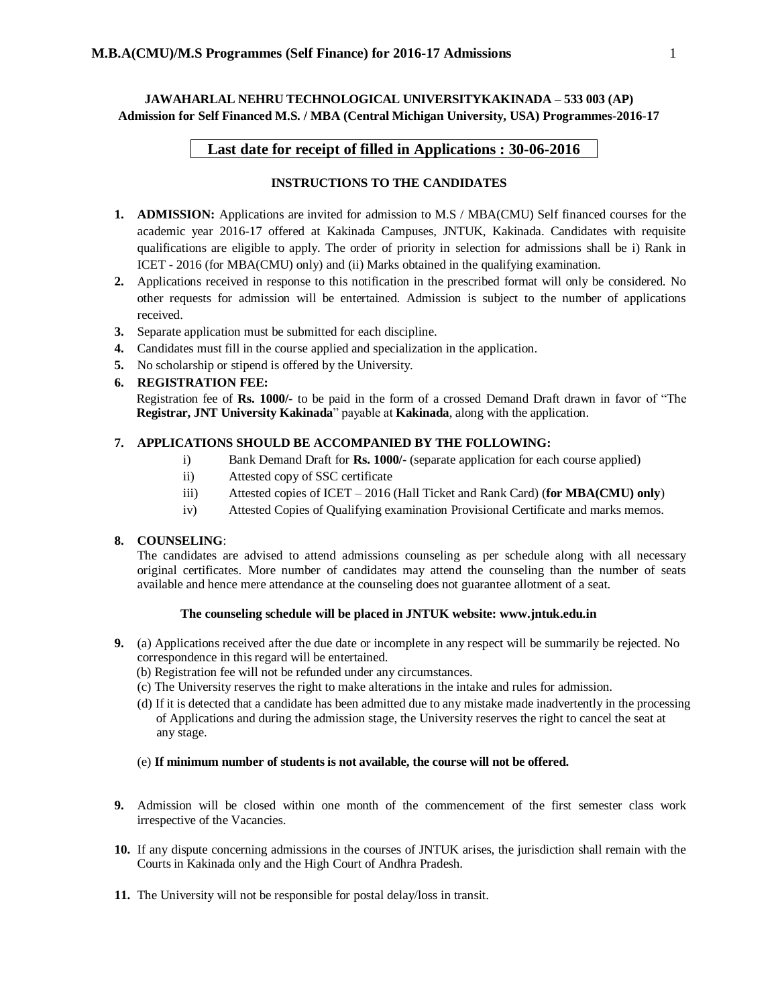**JAWAHARLAL NEHRU TECHNOLOGICAL UNIVERSITYKAKINADA – 533 003 (AP) Admission for Self Financed M.S. / MBA (Central Michigan University, USA) Programmes-2016-17** 

# **Last date for receipt of filled in Applications : 30-06-2016**

## **INSTRUCTIONS TO THE CANDIDATES**

- **1. ADMISSION:** Applications are invited for admission to M.S / MBA(CMU) Self financed courses for the academic year 2016-17 offered at Kakinada Campuses, JNTUK, Kakinada. Candidates with requisite qualifications are eligible to apply. The order of priority in selection for admissions shall be i) Rank in ICET - 2016 (for MBA(CMU) only) and (ii) Marks obtained in the qualifying examination.
- **2.** Applications received in response to this notification in the prescribed format will only be considered. No other requests for admission will be entertained. Admission is subject to the number of applications received.
- **3.** Separate application must be submitted for each discipline.
- **4.** Candidates must fill in the course applied and specialization in the application.
- **5.** No scholarship or stipend is offered by the University.

### **6. REGISTRATION FEE:**

Registration fee of **Rs. 1000/-** to be paid in the form of a crossed Demand Draft drawn in favor of "The **Registrar, JNT University Kakinada**" payable at **Kakinada**, along with the application.

### **7. APPLICATIONS SHOULD BE ACCOMPANIED BY THE FOLLOWING:**

- i) Bank Demand Draft for **Rs. 1000/-** (separate application for each course applied)
- ii) Attested copy of SSC certificate
- iii) Attested copies of ICET 2016 (Hall Ticket and Rank Card) (**for MBA(CMU) only**)
- iv) Attested Copies of Qualifying examination Provisional Certificate and marks memos.

#### **8. COUNSELING**:

The candidates are advised to attend admissions counseling as per schedule along with all necessary original certificates. More number of candidates may attend the counseling than the number of seats available and hence mere attendance at the counseling does not guarantee allotment of a seat.

#### **The counseling schedule will be placed in JNTUK website: www.jntuk.edu.in**

- **9.** (a) Applications received after the due date or incomplete in any respect will be summarily be rejected. No correspondence in this regard will be entertained.
	- (b) Registration fee will not be refunded under any circumstances.
	- (c) The University reserves the right to make alterations in the intake and rules for admission.
	- (d) If it is detected that a candidate has been admitted due to any mistake made inadvertently in the processing of Applications and during the admission stage, the University reserves the right to cancel the seat at any stage.

#### (e) **If minimum number of students is not available, the course will not be offered.**

- **9.** Admission will be closed within one month of the commencement of the first semester class work irrespective of the Vacancies.
- **10.** If any dispute concerning admissions in the courses of JNTUK arises, the jurisdiction shall remain with the Courts in Kakinada only and the High Court of Andhra Pradesh.
- **11.** The University will not be responsible for postal delay/loss in transit.